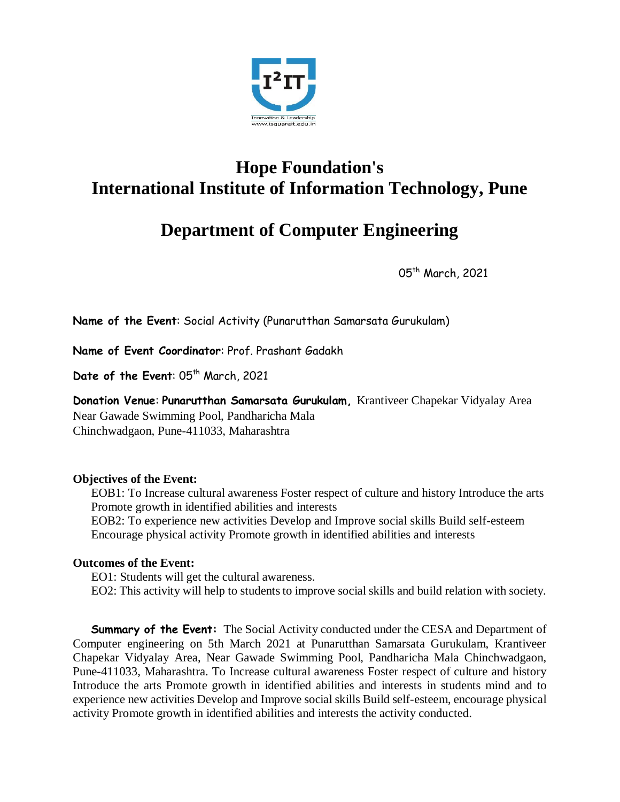

## **Hope Foundation's International Institute of Information Technology, Pune**

## **Department of Computer Engineering**

05th March, 2021

**Name of the Event**: Social Activity (Punarutthan Samarsata Gurukulam)

**Name of Event Coordinator**: Prof. Prashant Gadakh

Date of the Event: 05<sup>th</sup> March, 2021

**Donation Venue**: **Punarutthan Samarsata Gurukulam,** Krantiveer Chapekar Vidyalay Area Near Gawade Swimming Pool, Pandharicha Mala Chinchwadgaon, Pune-411033, Maharashtra

## **Objectives of the Event:**

EOB1: To Increase cultural awareness Foster respect of culture and history Introduce the arts Promote growth in identified abilities and interests EOB2: To experience new activities Develop and Improve social skills Build self-esteem

Encourage physical activity Promote growth in identified abilities and interests

## **Outcomes of the Event:**

EO1: Students will get the cultural awareness. EO2: This activity will help to students to improve social skills and build relation with society.

**Summary of the Event:** The Social Activity conducted under the CESA and Department of Computer engineering on 5th March 2021 at Punarutthan Samarsata Gurukulam, Krantiveer Chapekar Vidyalay Area, Near Gawade Swimming Pool, Pandharicha Mala Chinchwadgaon, Pune-411033, Maharashtra. To Increase cultural awareness Foster respect of culture and history Introduce the arts Promote growth in identified abilities and interests in students mind and to experience new activities Develop and Improve social skills Build self-esteem, encourage physical activity Promote growth in identified abilities and interests the activity conducted.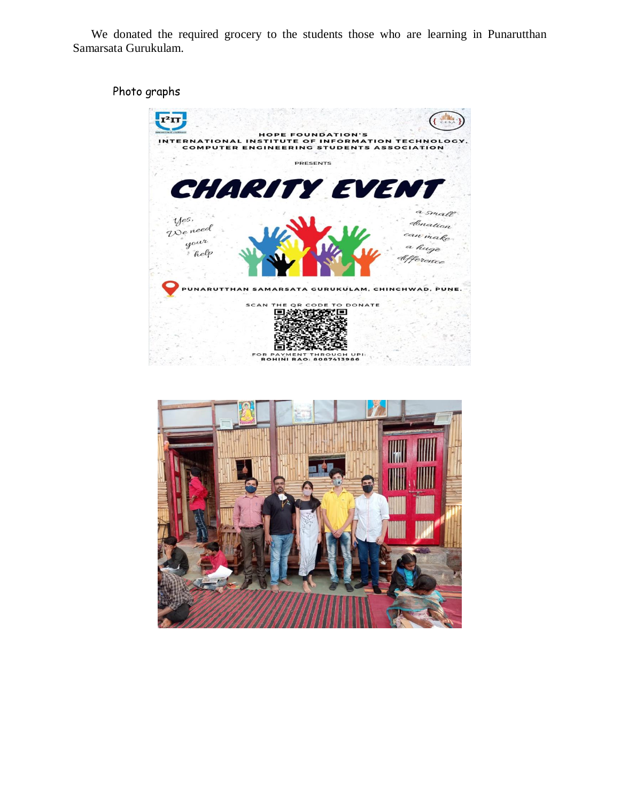We donated the required grocery to the students those who are learning in Punarutthan Samarsata Gurukulam.

Photo graphs